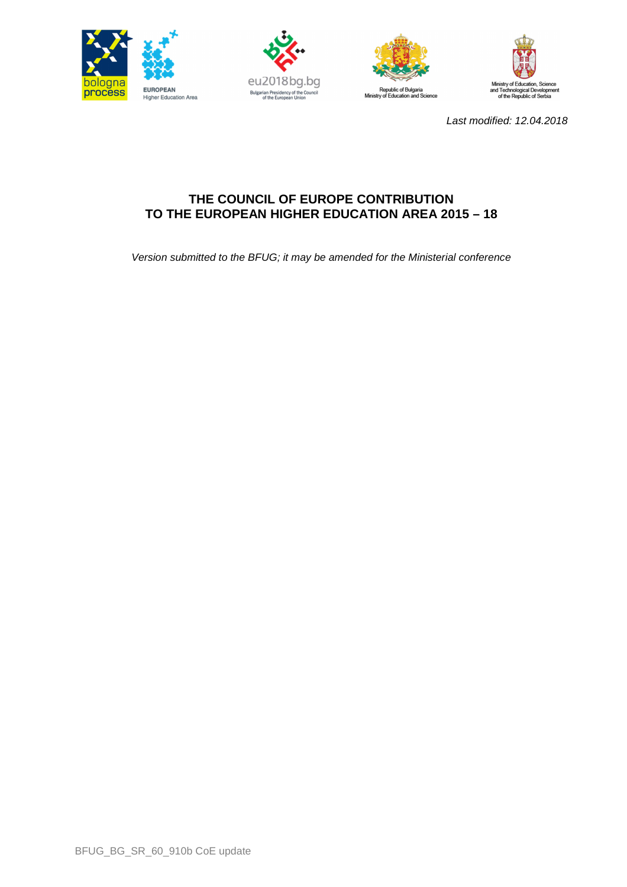







Last modified: 12.04.2018

# **THE COUNCIL OF EUROPE CONTRIBUTION TO THE EUROPEAN HIGHER EDUCATION AREA 2015 – 18**

Version submitted to the BFUG; it may be amended for the Ministerial conference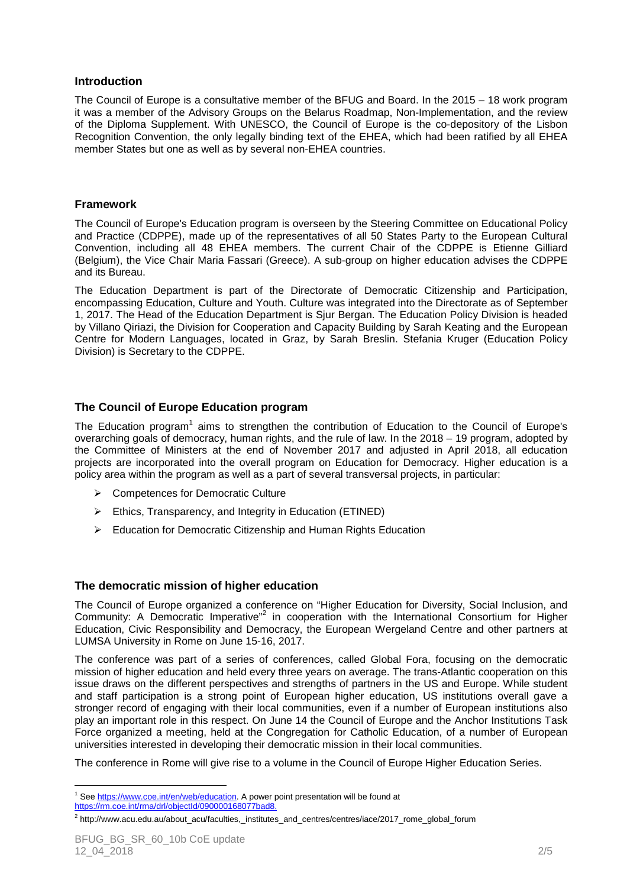## **Introduction**

The Council of Europe is a consultative member of the BFUG and Board. In the 2015 – 18 work program it was a member of the Advisory Groups on the Belarus Roadmap, Non-Implementation, and the review of the Diploma Supplement. With UNESCO, the Council of Europe is the co-depository of the Lisbon Recognition Convention, the only legally binding text of the EHEA, which had been ratified by all EHEA member States but one as well as by several non-EHEA countries.

### **Framework**

The Council of Europe's Education program is overseen by the Steering Committee on Educational Policy and Practice (CDPPE), made up of the representatives of all 50 States Party to the European Cultural Convention, including all 48 EHEA members. The current Chair of the CDPPE is Etienne Gilliard (Belgium), the Vice Chair Maria Fassari (Greece). A sub-group on higher education advises the CDPPE and its Bureau.

The Education Department is part of the Directorate of Democratic Citizenship and Participation, encompassing Education, Culture and Youth. Culture was integrated into the Directorate as of September 1, 2017. The Head of the Education Department is Sjur Bergan. The Education Policy Division is headed by Villano Qiriazi, the Division for Cooperation and Capacity Building by Sarah Keating and the European Centre for Modern Languages, located in Graz, by Sarah Breslin. Stefania Kruger (Education Policy Division) is Secretary to the CDPPE.

# **The Council of Europe Education program**

The Education program<sup>1</sup> aims to strengthen the contribution of Education to the Council of Europe's overarching goals of democracy, human rights, and the rule of law. In the 2018 – 19 program, adopted by the Committee of Ministers at the end of November 2017 and adjusted in April 2018, all education projects are incorporated into the overall program on Education for Democracy. Higher education is a policy area within the program as well as a part of several transversal projects, in particular:

- **►** Competences for Democratic Culture
- $\triangleright$  Ethics, Transparency, and Integrity in Education (ETINED)
- Education for Democratic Citizenship and Human Rights Education

#### **The democratic mission of higher education**

The Council of Europe organized a conference on "Higher Education for Diversity, Social Inclusion, and Community: A Democratic Imperative"<sup>2</sup> in cooperation with the International Consortium for Higher Education, Civic Responsibility and Democracy, the European Wergeland Centre and other partners at LUMSA University in Rome on June 15-16, 2017.

The conference was part of a series of conferences, called Global Fora, focusing on the democratic mission of higher education and held every three years on average. The trans-Atlantic cooperation on this issue draws on the different perspectives and strengths of partners in the US and Europe. While student and staff participation is a strong point of European higher education, US institutions overall gave a stronger record of engaging with their local communities, even if a number of European institutions also play an important role in this respect. On June 14 the Council of Europe and the Anchor Institutions Task Force organized a meeting, held at the Congregation for Catholic Education, of a number of European universities interested in developing their democratic mission in their local communities.

The conference in Rome will give rise to a volume in the Council of Europe Higher Education Series.

 $\overline{a}$ <sup>1</sup> See https://www.coe.int/en/web/education. A power point presentation will be found at https://rm.coe.int/rma/drl/objectId/090000168077bad8.

<sup>&</sup>lt;sup>2</sup> http://www.acu.edu.au/about\_acu/faculties,\_institutes\_and\_centres/centres/iace/2017\_rome\_global\_forum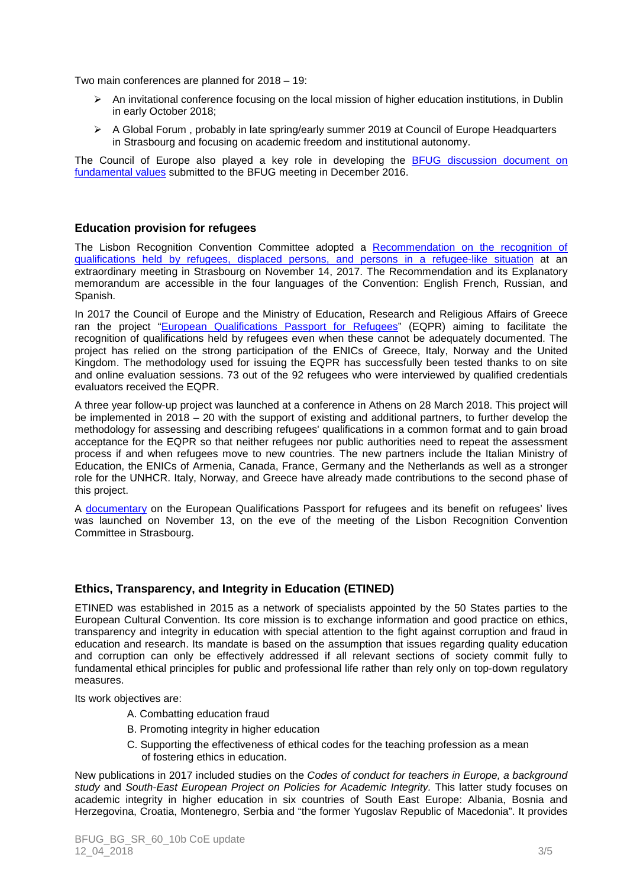Two main conferences are planned for 2018 – 19:

- $\triangleright$  An invitational conference focusing on the local mission of higher education institutions, in Dublin in early October 2018;
- $\triangleright$  A Global Forum, probably in late spring/early summer 2019 at Council of Europe Headquarters in Strasbourg and focusing on academic freedom and institutional autonomy.

The Council of Europe also played a key role in developing the **BFUG** discussion document on fundamental values submitted to the BFUG meeting in December 2016.

### **Education provision for refugees**

The Lisbon Recognition Convention Committee adopted a Recommendation on the recognition of qualifications held by refugees, displaced persons, and persons in a refugee-like situation at an extraordinary meeting in Strasbourg on November 14, 2017. The Recommendation and its Explanatory memorandum are accessible in the four languages of the Convention: English French, Russian, and Spanish.

In 2017 the Council of Europe and the Ministry of Education, Research and Religious Affairs of Greece ran the project "European Qualifications Passport for Refugees" (EQPR) aiming to facilitate the recognition of qualifications held by refugees even when these cannot be adequately documented. The project has relied on the strong participation of the ENICs of Greece, Italy, Norway and the United Kingdom. The methodology used for issuing the EQPR has successfully been tested thanks to on site and online evaluation sessions. 73 out of the 92 refugees who were interviewed by qualified credentials evaluators received the EQPR.

A three year follow-up project was launched at a conference in Athens on 28 March 2018. This project will be implemented in 2018 – 20 with the support of existing and additional partners, to further develop the methodology for assessing and describing refugees' qualifications in a common format and to gain broad acceptance for the EQPR so that neither refugees nor public authorities need to repeat the assessment process if and when refugees move to new countries. The new partners include the Italian Ministry of Education, the ENICs of Armenia, Canada, France, Germany and the Netherlands as well as a stronger role for the UNHCR. Italy, Norway, and Greece have already made contributions to the second phase of this project.

A documentary on the European Qualifications Passport for refugees and its benefit on refugees' lives was launched on November 13, on the eve of the meeting of the Lisbon Recognition Convention Committee in Strasbourg.

# **Ethics, Transparency, and Integrity in Education (ETINED)**

ETINED was established in 2015 as a network of specialists appointed by the 50 States parties to the European Cultural Convention. Its core mission is to exchange information and good practice on ethics, transparency and integrity in education with special attention to the fight against corruption and fraud in education and research. Its mandate is based on the assumption that issues regarding quality education and corruption can only be effectively addressed if all relevant sections of society commit fully to fundamental ethical principles for public and professional life rather than rely only on top-down regulatory measures.

Its work objectives are:

- A. Combatting education fraud
- B. Promoting integrity in higher education
- C. Supporting the effectiveness of ethical codes for the teaching profession as a mean of fostering ethics in education.

New publications in 2017 included studies on the Codes of conduct for teachers in Europe, a background study and South-East European Project on Policies for Academic Integrity. This latter study focuses on academic integrity in higher education in six countries of South East Europe: Albania, Bosnia and Herzegovina, Croatia, Montenegro, Serbia and "the former Yugoslav Republic of Macedonia". It provides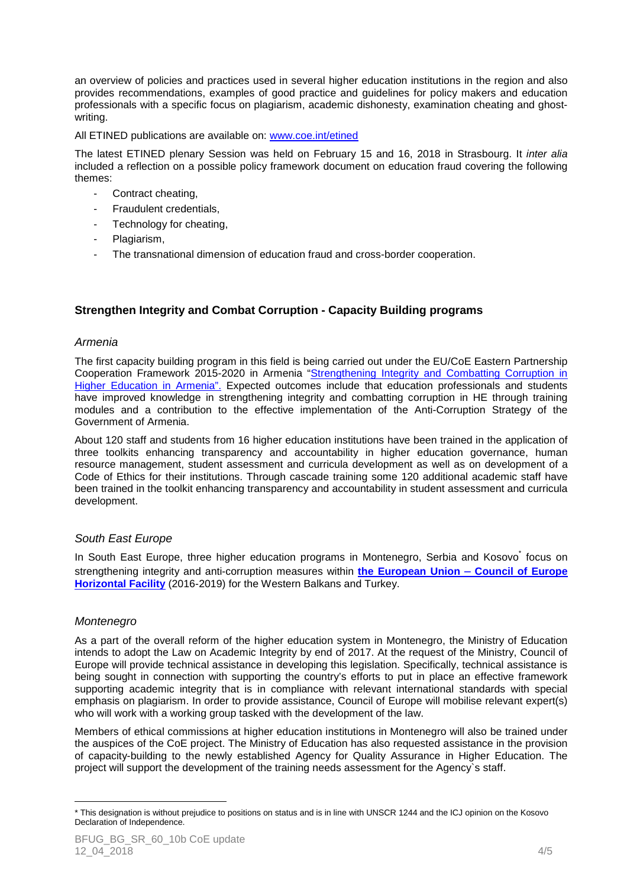an overview of policies and practices used in several higher education institutions in the region and also provides recommendations, examples of good practice and guidelines for policy makers and education professionals with a specific focus on plagiarism, academic dishonesty, examination cheating and ghostwriting.

All ETINED publications are available on: www.coe.int/etined

The latest ETINED plenary Session was held on February 15 and 16, 2018 in Strasbourg. It inter alia included a reflection on a possible policy framework document on education fraud covering the following themes:

- Contract cheating,
- Fraudulent credentials,
- Technology for cheating,
- Plagiarism,
- The transnational dimension of education fraud and cross-border cooperation.

# **Strengthen Integrity and Combat Corruption - Capacity Building programs**

#### Armenia

The first capacity building program in this field is being carried out under the EU/CoE Eastern Partnership Cooperation Framework 2015-2020 in Armenia "Strengthening Integrity and Combatting Corruption in Higher Education in Armenia". Expected outcomes include that education professionals and students have improved knowledge in strengthening integrity and combatting corruption in HE through training modules and a contribution to the effective implementation of the Anti-Corruption Strategy of the Government of Armenia.

About 120 staff and students from 16 higher education institutions have been trained in the application of three toolkits enhancing transparency and accountability in higher education governance, human resource management, student assessment and curricula development as well as on development of a Code of Ethics for their institutions. Through cascade training some 120 additional academic staff have been trained in the toolkit enhancing transparency and accountability in student assessment and curricula development.

#### South East Europe

In South East Europe, three higher education programs in Montenegro, Serbia and Kosovo<sup>\*</sup> focus on strengthening integrity and anti-corruption measures within **the European Union – Council of Europe Horizontal Facility** (2016-2019) for the Western Balkans and Turkey.

#### Montenegro

 $\overline{a}$ 

As a part of the overall reform of the higher education system in Montenegro, the Ministry of Education intends to adopt the Law on Academic Integrity by end of 2017. At the request of the Ministry, Council of Europe will provide technical assistance in developing this legislation. Specifically, technical assistance is being sought in connection with supporting the country's efforts to put in place an effective framework supporting academic integrity that is in compliance with relevant international standards with special emphasis on plagiarism. In order to provide assistance, Council of Europe will mobilise relevant expert(s) who will work with a working group tasked with the development of the law.

Members of ethical commissions at higher education institutions in Montenegro will also be trained under the auspices of the CoE project. The Ministry of Education has also requested assistance in the provision of capacity-building to the newly established Agency for Quality Assurance in Higher Education. The project will support the development of the training needs assessment for the Agency`s staff.

<sup>\*</sup> This designation is without prejudice to positions on status and is in line with UNSCR 1244 and the ICJ opinion on the Kosovo Declaration of Independence.